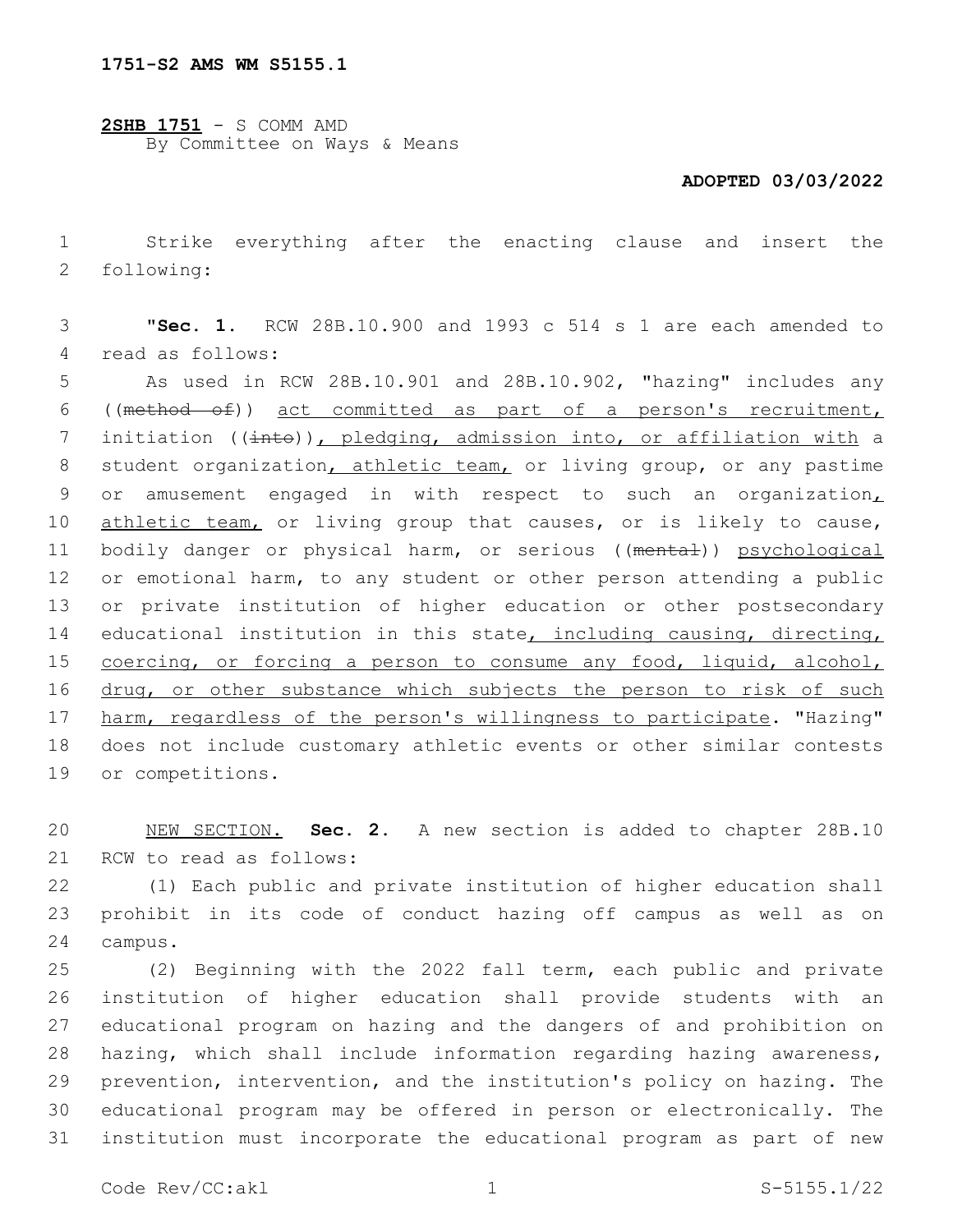**2SHB 1751** - S COMM AMD By Committee on Ways & Means

## **ADOPTED 03/03/2022**

1 Strike everything after the enacting clause and insert the 2 following:

3 "**Sec. 1.** RCW 28B.10.900 and 1993 c 514 s 1 are each amended to 4 read as follows:

5 As used in RCW 28B.10.901 and 28B.10.902, "hazing" includes any 6 ((method of)) act committed as part of a person's recruitment, 7 initiation (( $\frac{1}{1}$ ), pledging, admission into, or affiliation with a 8 student organization, athletic team, or living group, or any pastime 9 or amusement engaged in with respect to such an organization, 10 athletic team, or living group that causes, or is likely to cause, 11 bodily danger or physical harm, or serious ((mental)) psychological 12 or emotional harm, to any student or other person attending a public 13 or private institution of higher education or other postsecondary 14 educational institution in this state, including causing, directing, 15 coercing, or forcing a person to consume any food, liquid, alcohol, 16 drug, or other substance which subjects the person to risk of such 17 harm, regardless of the person's willingness to participate. "Hazing" 18 does not include customary athletic events or other similar contests 19 or competitions.

20 NEW SECTION. **Sec. 2.** A new section is added to chapter 28B.10 21 RCW to read as follows:

22 (1) Each public and private institution of higher education shall 23 prohibit in its code of conduct hazing off campus as well as on 24 campus.

 (2) Beginning with the 2022 fall term, each public and private institution of higher education shall provide students with an educational program on hazing and the dangers of and prohibition on hazing, which shall include information regarding hazing awareness, prevention, intervention, and the institution's policy on hazing. The educational program may be offered in person or electronically. The institution must incorporate the educational program as part of new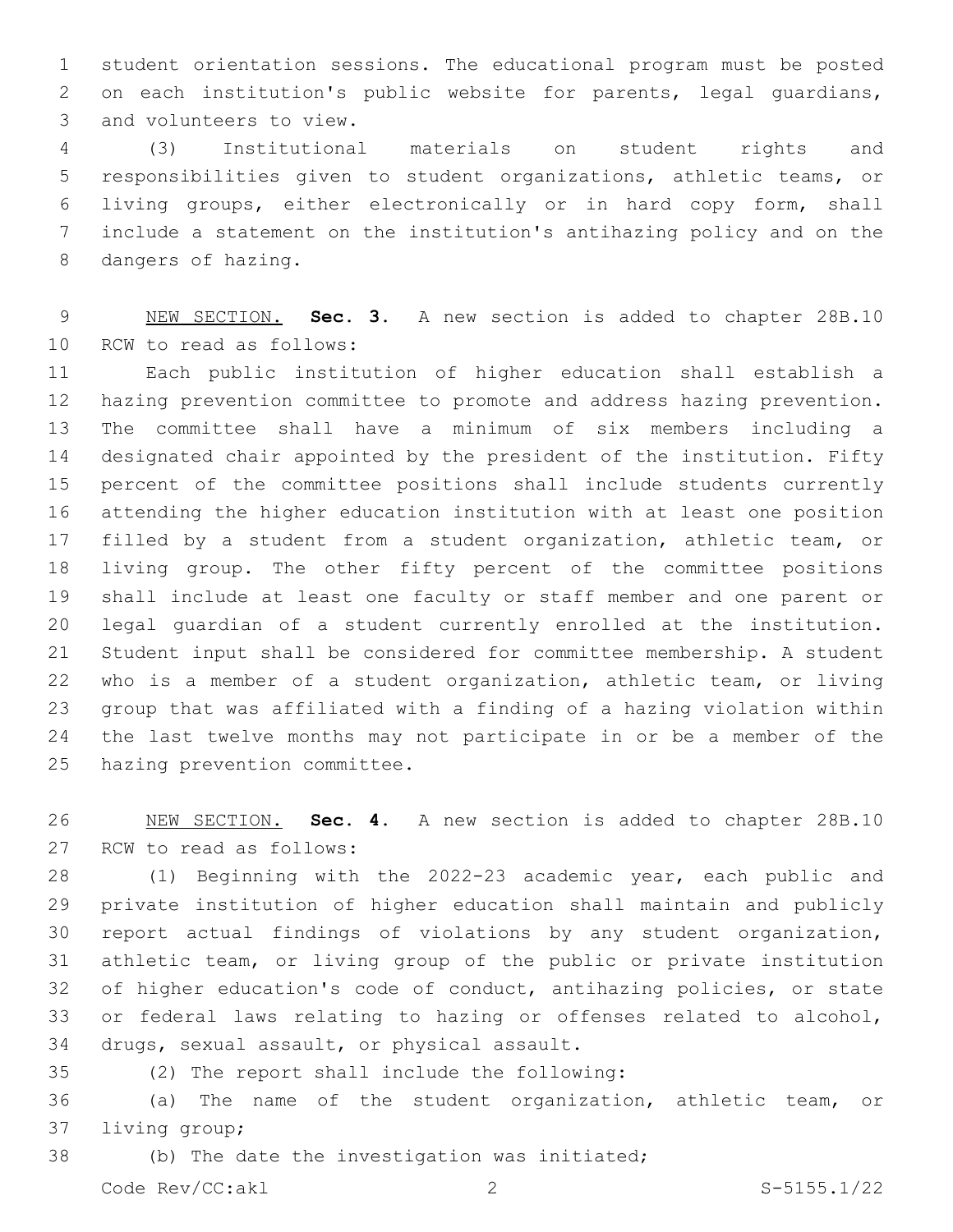student orientation sessions. The educational program must be posted on each institution's public website for parents, legal guardians, 3 and volunteers to view.

 (3) Institutional materials on student rights and responsibilities given to student organizations, athletic teams, or living groups, either electronically or in hard copy form, shall include a statement on the institution's antihazing policy and on the 8 dangers of hazing.

 NEW SECTION. **Sec. 3.** A new section is added to chapter 28B.10 10 RCW to read as follows:

 Each public institution of higher education shall establish a hazing prevention committee to promote and address hazing prevention. The committee shall have a minimum of six members including a designated chair appointed by the president of the institution. Fifty percent of the committee positions shall include students currently attending the higher education institution with at least one position filled by a student from a student organization, athletic team, or living group. The other fifty percent of the committee positions shall include at least one faculty or staff member and one parent or legal guardian of a student currently enrolled at the institution. Student input shall be considered for committee membership. A student who is a member of a student organization, athletic team, or living group that was affiliated with a finding of a hazing violation within the last twelve months may not participate in or be a member of the 25 hazing prevention committee.

 NEW SECTION. **Sec. 4.** A new section is added to chapter 28B.10 27 RCW to read as follows:

 (1) Beginning with the 2022-23 academic year, each public and private institution of higher education shall maintain and publicly report actual findings of violations by any student organization, athletic team, or living group of the public or private institution of higher education's code of conduct, antihazing policies, or state or federal laws relating to hazing or offenses related to alcohol, 34 drugs, sexual assault, or physical assault.

(2) The report shall include the following:35

 (a) The name of the student organization, athletic team, or 37 living group;

38 (b) The date the investigation was initiated;

Code Rev/CC:akl 2 S-5155.1/22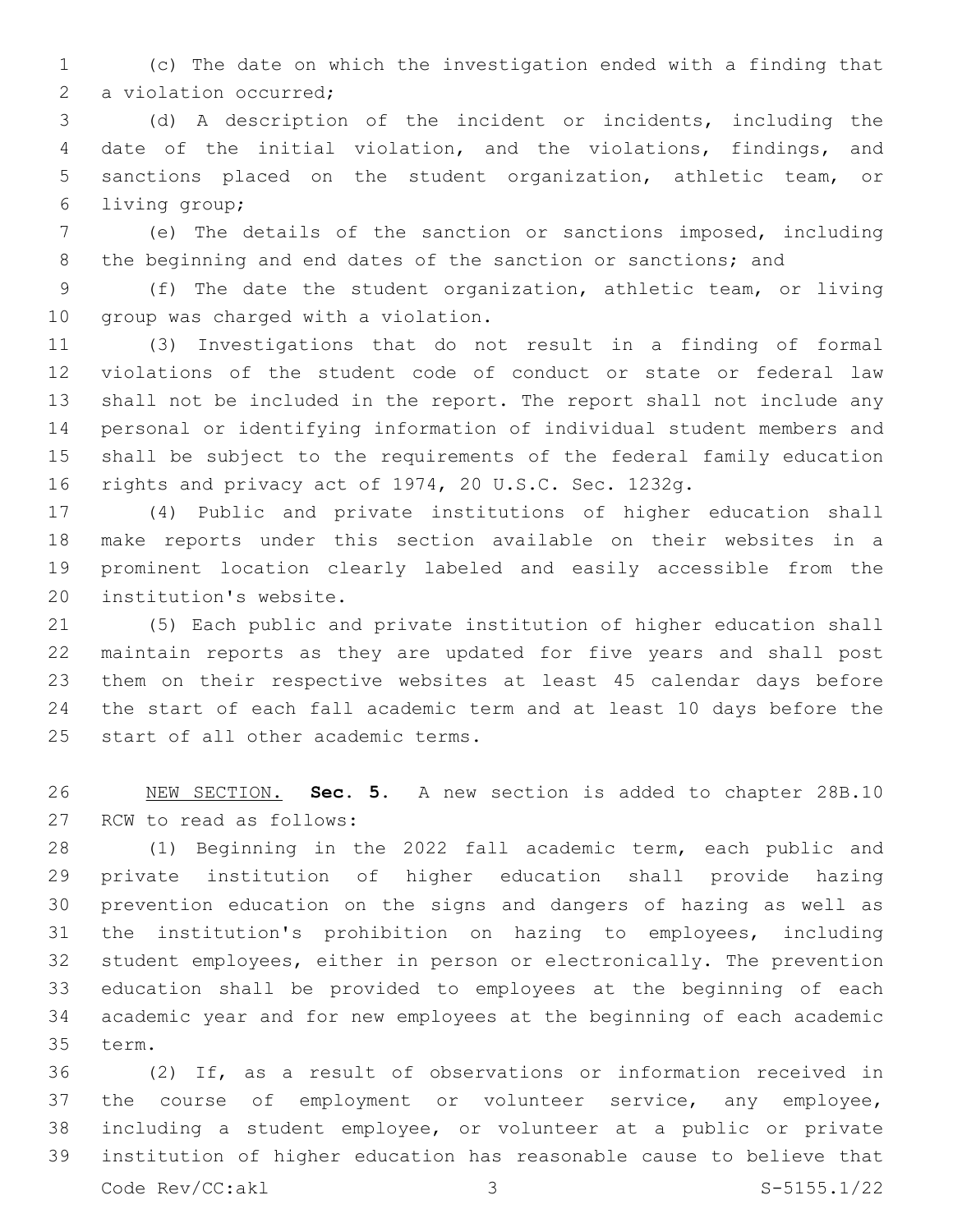(c) The date on which the investigation ended with a finding that 2 a violation occurred;

 (d) A description of the incident or incidents, including the date of the initial violation, and the violations, findings, and sanctions placed on the student organization, athletic team, or 6 living group;

 (e) The details of the sanction or sanctions imposed, including 8 the beginning and end dates of the sanction or sanctions; and

 (f) The date the student organization, athletic team, or living 10 group was charged with a violation.

 (3) Investigations that do not result in a finding of formal violations of the student code of conduct or state or federal law shall not be included in the report. The report shall not include any personal or identifying information of individual student members and shall be subject to the requirements of the federal family education rights and privacy act of 1974, 20 U.S.C. Sec. 1232g.

 (4) Public and private institutions of higher education shall make reports under this section available on their websites in a prominent location clearly labeled and easily accessible from the 20 institution's website.

 (5) Each public and private institution of higher education shall maintain reports as they are updated for five years and shall post them on their respective websites at least 45 calendar days before the start of each fall academic term and at least 10 days before the 25 start of all other academic terms.

 NEW SECTION. **Sec. 5.** A new section is added to chapter 28B.10 27 RCW to read as follows:

 (1) Beginning in the 2022 fall academic term, each public and private institution of higher education shall provide hazing prevention education on the signs and dangers of hazing as well as the institution's prohibition on hazing to employees, including student employees, either in person or electronically. The prevention education shall be provided to employees at the beginning of each academic year and for new employees at the beginning of each academic 35 term.

 (2) If, as a result of observations or information received in 37 the course of employment or volunteer service, any employee, including a student employee, or volunteer at a public or private institution of higher education has reasonable cause to believe that Code Rev/CC:akl 3 S-5155.1/22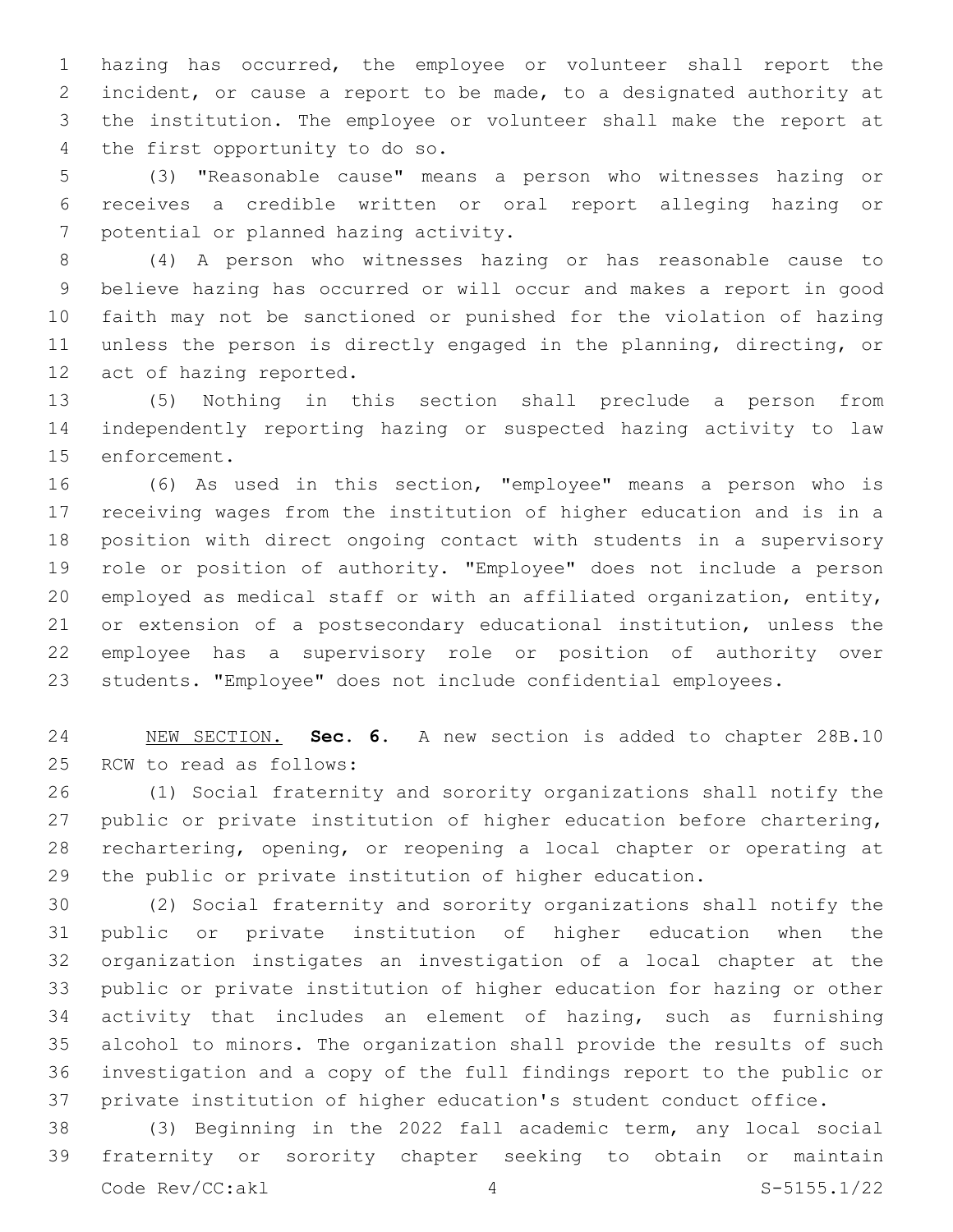hazing has occurred, the employee or volunteer shall report the incident, or cause a report to be made, to a designated authority at the institution. The employee or volunteer shall make the report at 4 the first opportunity to do so.

 (3) "Reasonable cause" means a person who witnesses hazing or receives a credible written or oral report alleging hazing or 7 potential or planned hazing activity.

 (4) A person who witnesses hazing or has reasonable cause to believe hazing has occurred or will occur and makes a report in good faith may not be sanctioned or punished for the violation of hazing unless the person is directly engaged in the planning, directing, or 12 act of hazing reported.

 (5) Nothing in this section shall preclude a person from independently reporting hazing or suspected hazing activity to law 15 enforcement.

 (6) As used in this section, "employee" means a person who is receiving wages from the institution of higher education and is in a position with direct ongoing contact with students in a supervisory role or position of authority. "Employee" does not include a person employed as medical staff or with an affiliated organization, entity, or extension of a postsecondary educational institution, unless the employee has a supervisory role or position of authority over students. "Employee" does not include confidential employees.

 NEW SECTION. **Sec. 6.** A new section is added to chapter 28B.10 25 RCW to read as follows:

 (1) Social fraternity and sorority organizations shall notify the public or private institution of higher education before chartering, rechartering, opening, or reopening a local chapter or operating at the public or private institution of higher education.

 (2) Social fraternity and sorority organizations shall notify the public or private institution of higher education when the organization instigates an investigation of a local chapter at the public or private institution of higher education for hazing or other activity that includes an element of hazing, such as furnishing alcohol to minors. The organization shall provide the results of such investigation and a copy of the full findings report to the public or private institution of higher education's student conduct office.

 (3) Beginning in the 2022 fall academic term, any local social fraternity or sorority chapter seeking to obtain or maintain Code Rev/CC:akl 4 S-5155.1/22